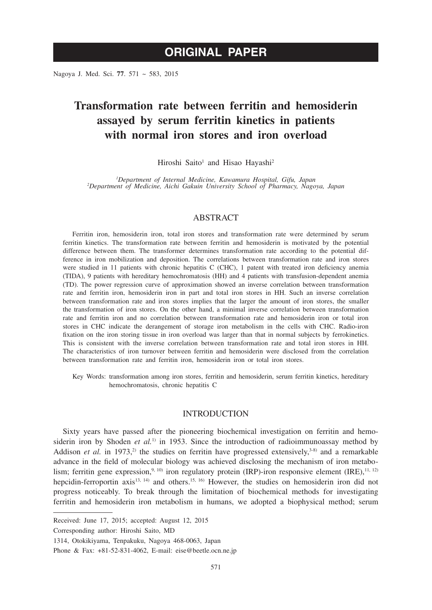Nagoya J. Med. Sci. **77**. 571 ~ 583, 2015

# **Transformation rate between ferritin and hemosiderin assayed by serum ferritin kinetics in patients with normal iron stores and iron overload**

Hiroshi Saito<sup>1</sup> and Hisao Hayashi<sup>2</sup>

*1 Department of Internal Medicine, Kawamura Hospital, Gifu, Japan <sup>2</sup> Department of Medicine, Aichi Gakuin University School of Pharmacy, Nagoya, Japan*

# **ABSTRACT**

Ferritin iron, hemosiderin iron, total iron stores and transformation rate were determined by serum ferritin kinetics. The transformation rate between ferritin and hemosiderin is motivated by the potential difference between them. The transformer determines transformation rate according to the potential difference in iron mobilization and deposition. The correlations between transformation rate and iron stores were studied in 11 patients with chronic hepatitis C (CHC), 1 patent with treated iron deficiency anemia (TIDA), 9 patients with hereditary hemochromatosis (HH) and 4 patients with transfusion-dependent anemia (TD). The power regression curve of approximation showed an inverse correlation between transformation rate and ferritin iron, hemosiderin iron in part and total iron stores in HH. Such an inverse correlation between transformation rate and iron stores implies that the larger the amount of iron stores, the smaller the transformation of iron stores. On the other hand, a minimal inverse correlation between transformation rate and ferritin iron and no correlation between transformation rate and hemosiderin iron or total iron stores in CHC indicate the derangement of storage iron metabolism in the cells with CHC. Radio-iron fixation on the iron storing tissue in iron overload was larger than that in normal subjects by ferrokinetics. This is consistent with the inverse correlation between transformation rate and total iron stores in HH. The characteristics of iron turnover between ferritin and hemosiderin were disclosed from the correlation between transformation rate and ferritin iron, hemosiderin iron or total iron stores.

Key Words: transformation among iron stores, ferritin and hemosiderin, serum ferritin kinetics, hereditary hemochromatosis, chronic hepatitis C

# INTRODUCTION

Sixty years have passed after the pioneering biochemical investigation on ferritin and hemosiderin iron by Shoden *et al.*<sup>1)</sup> in 1953. Since the introduction of radioimmunoassay method by Addison *et al.* in 1973,<sup>2)</sup> the studies on ferritin have progressed extensively,<sup>3-8)</sup> and a remarkable advance in the field of molecular biology was achieved disclosing the mechanism of iron metabolism; ferritin gene expression,<sup>9, 10)</sup> iron regulatory protein (IRP)-iron responsive element (IRE),<sup>11, 12)</sup> hepcidin-ferroportin axis<sup>13, 14</sup>) and others.<sup>15, 16</sup>) However, the studies on hemosiderin iron did not progress noticeably. To break through the limitation of biochemical methods for investigating ferritin and hemosiderin iron metabolism in humans, we adopted a biophysical method; serum

Received: June 17, 2015; accepted: August 12, 2015

Corresponding author: Hiroshi Saito, MD

<sup>1314,</sup> Otokikiyama, Tenpakuku, Nagoya 468-0063, Japan

Phone & Fax: +81-52-831-4062, E-mail: eise@beetle.ocn.ne.jp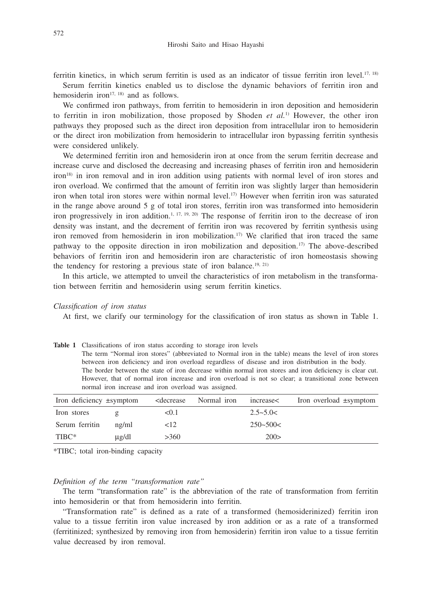ferritin kinetics, in which serum ferritin is used as an indicator of tissue ferritin iron level.17, 18)

Serum ferritin kinetics enabled us to disclose the dynamic behaviors of ferritin iron and hemosiderin iron<sup>17, 18)</sup> and as follows.

We confirmed iron pathways, from ferritin to hemosiderin in iron deposition and hemosiderin to ferritin in iron mobilization, those proposed by Shoden *et al.*1) However, the other iron pathways they proposed such as the direct iron deposition from intracellular iron to hemosiderin or the direct iron mobilization from hemosiderin to intracellular iron bypassing ferritin synthesis were considered unlikely.

We determined ferritin iron and hemosiderin iron at once from the serum ferritin decrease and increase curve and disclosed the decreasing and increasing phases of ferritin iron and hemosiderin iron18) in iron removal and in iron addition using patients with normal level of iron stores and iron overload. We confirmed that the amount of ferritin iron was slightly larger than hemosiderin iron when total iron stores were within normal level.17) However when ferritin iron was saturated in the range above around 5 g of total iron stores, ferritin iron was transformed into hemosiderin iron progressively in iron addition.<sup>1, 17, 19, 20)</sup> The response of ferritin iron to the decrease of iron density was instant, and the decrement of ferritin iron was recovered by ferritin synthesis using iron removed from hemosiderin in iron mobilization.<sup>17)</sup> We clarified that iron traced the same pathway to the opposite direction in iron mobilization and deposition.17) The above-described behaviors of ferritin iron and hemosiderin iron are characteristic of iron homeostasis showing the tendency for restoring a previous state of iron balance.<sup>19, 21)</sup>

In this article, we attempted to unveil the characteristics of iron metabolism in the transformation between ferritin and hemosiderin using serum ferritin kinetics.

## *Classification of iron status*

At first, we clarify our terminology for the classification of iron status as shown in Table 1.

| <b>Table 1</b> Classifications of iron status according to storage iron levels                            |
|-----------------------------------------------------------------------------------------------------------|
| The term "Normal iron stores" (abbreviated to Normal iron in the table) means the level of iron stores    |
| between iron deficiency and iron overload regardless of disease and iron distribution in the body.        |
| The border between the state of iron decrease within normal iron stores and iron deficiency is clear cut. |
| However, that of normal iron increase and iron overload is not so clear; a transitional zone between      |
| normal iron increase and iron overload was assigned.                                                      |
|                                                                                                           |

| Iron deficiency $\pm$ symptom |             | <decrease< th=""><th>Normal iron</th><th>increase&lt;</th><th>Iron overload <math>\pm</math>symptom</th></decrease<> | Normal iron | increase<     | Iron overload $\pm$ symptom |
|-------------------------------|-------------|----------------------------------------------------------------------------------------------------------------------|-------------|---------------|-----------------------------|
| Iron stores                   |             | < 0.1                                                                                                                |             | $2.5 - 5.0 <$ |                             |
| Serum ferritin                | $n\Omega/m$ | $\leq$ 12                                                                                                            |             | $250 - 500 <$ |                             |
| TIBC*                         | ug/dl       | >360                                                                                                                 |             | 200>          |                             |

\*TIBC; total iron-binding capacity

## *Definition of the term "transformation rate"*

The term "transformation rate" is the abbreviation of the rate of transformation from ferritin into hemosiderin or that from hemosiderin into ferritin.

"Transformation rate" is defined as a rate of a transformed (hemosiderinized) ferritin iron value to a tissue ferritin iron value increased by iron addition or as a rate of a transformed (ferritinized; synthesized by removing iron from hemosiderin) ferritin iron value to a tissue ferritin value decreased by iron removal.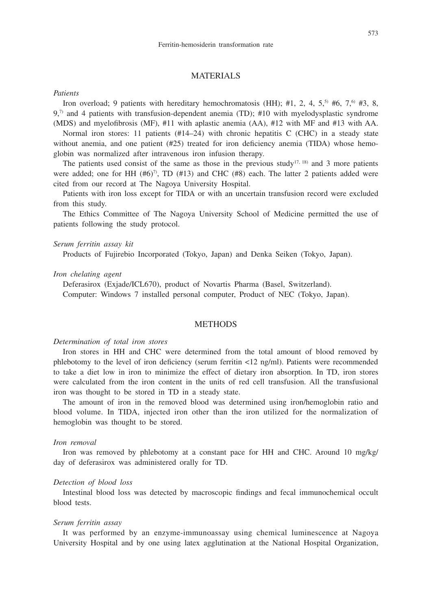# MATERIALS

## *Patients*

Iron overload; 9 patients with hereditary hemochromatosis (HH); #1, 2, 4,  $5<sup>5</sup>$  #6,  $7<sup>6</sup>$  #3, 8, 9,7) and 4 patients with transfusion-dependent anemia (TD); #10 with myelodysplastic syndrome (MDS) and myelofibrosis (MF), #11 with aplastic anemia (AA), #12 with MF and #13 with AA.

Normal iron stores: 11 patients  $(\text{#14–24})$  with chronic hepatitis C (CHC) in a steady state without anemia, and one patient (#25) treated for iron deficiency anemia (TIDA) whose hemoglobin was normalized after intravenous iron infusion therapy.

The patients used consist of the same as those in the previous study<sup>17, 18)</sup> and 3 more patients were added; one for HH (#6)<sup>7</sup>, TD (#13) and CHC (#8) each. The latter 2 patients added were cited from our record at The Nagoya University Hospital.

Patients with iron loss except for TIDA or with an uncertain transfusion record were excluded from this study.

The Ethics Committee of The Nagoya University School of Medicine permitted the use of patients following the study protocol.

# *Serum ferritin assay kit*

Products of Fujirebio Incorporated (Tokyo, Japan) and Denka Seiken (Tokyo, Japan).

## *Iron chelating agent*

Deferasirox (Exjade/ICL670), product of Novartis Pharma (Basel, Switzerland). Computer: Windows 7 installed personal computer, Product of NEC (Tokyo, Japan).

# **METHODS**

## *Determination of total iron stores*

Iron stores in HH and CHC were determined from the total amount of blood removed by phlebotomy to the level of iron deficiency (serum ferritin <12 ng/ml). Patients were recommended to take a diet low in iron to minimize the effect of dietary iron absorption. In TD, iron stores were calculated from the iron content in the units of red cell transfusion. All the transfusional iron was thought to be stored in TD in a steady state.

The amount of iron in the removed blood was determined using iron/hemoglobin ratio and blood volume. In TIDA, injected iron other than the iron utilized for the normalization of hemoglobin was thought to be stored.

## *Iron removal*

Iron was removed by phlebotomy at a constant pace for HH and CHC. Around 10 mg/kg/ day of deferasirox was administered orally for TD.

# *Detection of blood loss*

Intestinal blood loss was detected by macroscopic findings and fecal immunochemical occult blood tests.

# *Serum ferritin assay*

It was performed by an enzyme-immunoassay using chemical luminescence at Nagoya University Hospital and by one using latex agglutination at the National Hospital Organization,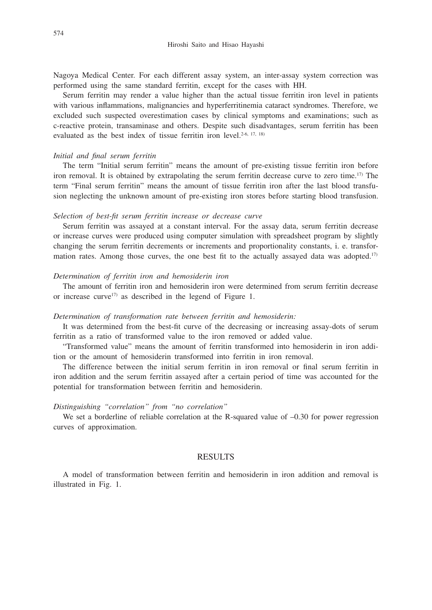Nagoya Medical Center. For each different assay system, an inter-assay system correction was performed using the same standard ferritin, except for the cases with HH.

Serum ferritin may render a value higher than the actual tissue ferritin iron level in patients with various inflammations, malignancies and hyperferritinemia cataract syndromes. Therefore, we excluded such suspected overestimation cases by clinical symptoms and examinations; such as c-reactive protein, transaminase and others. Despite such disadvantages, serum ferritin has been evaluated as the best index of tissue ferritin iron level.<sup>2-6, 17, 18)</sup>

#### *Initial and final serum ferritin*

The term "Initial serum ferritin" means the amount of pre-existing tissue ferritin iron before iron removal. It is obtained by extrapolating the serum ferritin decrease curve to zero time.17) The term "Final serum ferritin" means the amount of tissue ferritin iron after the last blood transfusion neglecting the unknown amount of pre-existing iron stores before starting blood transfusion.

# *Selection of best-fit serum ferritin increase or decrease curve*

Serum ferritin was assayed at a constant interval. For the assay data, serum ferritin decrease or increase curves were produced using computer simulation with spreadsheet program by slightly changing the serum ferritin decrements or increments and proportionality constants, i. e. transformation rates. Among those curves, the one best fit to the actually assayed data was adopted.<sup>17)</sup>

# *Determination of ferritin iron and hemosiderin iron*

The amount of ferritin iron and hemosiderin iron were determined from serum ferritin decrease or increase curve<sup>17)</sup> as described in the legend of Figure 1.

## *Determination of transformation rate between ferritin and hemosiderin:*

It was determined from the best-fit curve of the decreasing or increasing assay-dots of serum ferritin as a ratio of transformed value to the iron removed or added value.

"Transformed value" means the amount of ferritin transformed into hemosiderin in iron addition or the amount of hemosiderin transformed into ferritin in iron removal.

The difference between the initial serum ferritin in iron removal or final serum ferritin in iron addition and the serum ferritin assayed after a certain period of time was accounted for the potential for transformation between ferritin and hemosiderin.

## *Distinguishing "correlation" from "no correlation"*

We set a borderline of reliable correlation at the R-squared value of  $-0.30$  for power regression curves of approximation.

## RESULTS

A model of transformation between ferritin and hemosiderin in iron addition and removal is illustrated in Fig. 1.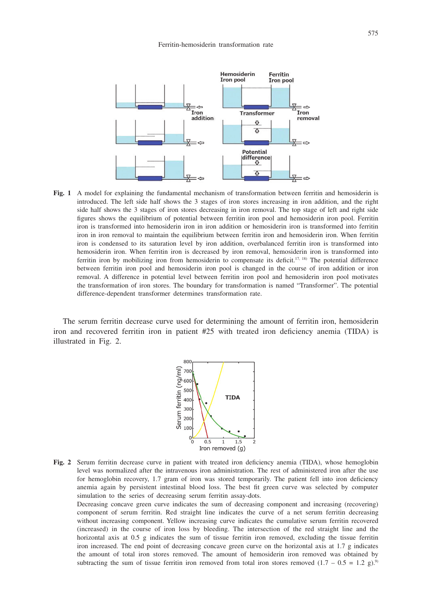

**Fig. 1** A model for explaining the fundamental mechanism of transformation between ferritin and hemosiderin is introduced. The left side half shows the 3 stages of iron stores increasing in iron addition, and the right side half shows the 3 stages of iron stores decreasing in iron removal. The top stage of left and right side figures shows the equilibrium of potential between ferritin iron pool and hemosiderin iron pool. Ferritin iron is transformed into hemosiderin iron in iron addition or hemosiderin iron is transformed into ferritin iron in iron removal to maintain the equilibrium between ferritin iron and hemosiderin iron. When ferritin iron is condensed to its saturation level by iron addition, overbalanced ferritin iron is transformed into hemosiderin iron. When ferritin iron is decreased by iron removal, hemosiderin iron is transformed into ferritin iron by mobilizing iron from hemosiderin to compensate its deficit.17, 18) The potential difference between ferritin iron pool and hemosiderin iron pool is changed in the course of iron addition or iron removal. A difference in potential level between ferritin iron pool and hemosiderin iron pool motivates the transformation of iron stores. The boundary for transformation is named "Transformer". The potential difference-dependent transformer determines transformation rate.

The serum ferritin decrease curve used for determining the amount of ferritin iron, hemosiderin iron and recovered ferritin iron in patient #25 with treated iron deficiency anemia (TIDA) is illustrated in Fig. 2.



**Fig. 2** Serum ferritin decrease curve in patient with treated iron deficiency anemia (TIDA), whose hemoglobin level was normalized after the intravenous iron administration. The rest of administered iron after the use for hemoglobin recovery, 1.7 gram of iron was stored temporarily. The patient fell into iron deficiency anemia again by persistent intestinal blood loss. The best fit green curve was selected by computer simulation to the series of decreasing serum ferritin assay-dots.

Decreasing concave green curve indicates the sum of decreasing component and increasing (recovering) component of serum ferritin. Red straight line indicates the curve of a net serum ferritin decreasing without increasing component. Yellow increasing curve indicates the cumulative serum ferritin recovered (increased) in the course of iron loss by bleeding. The intersection of the red straight line and the horizontal axis at 0.5 g indicates the sum of tissue ferritin iron removed, excluding the tissue ferritin iron increased. The end point of decreasing concave green curve on the horizontal axis at 1.7 g indicates the amount of total iron stores removed. The amount of hemosiderin iron removed was obtained by subtracting the sum of tissue ferritin iron removed from total iron stores removed  $(1.7 - 0.5 = 1.2 \text{ g})^{.9}$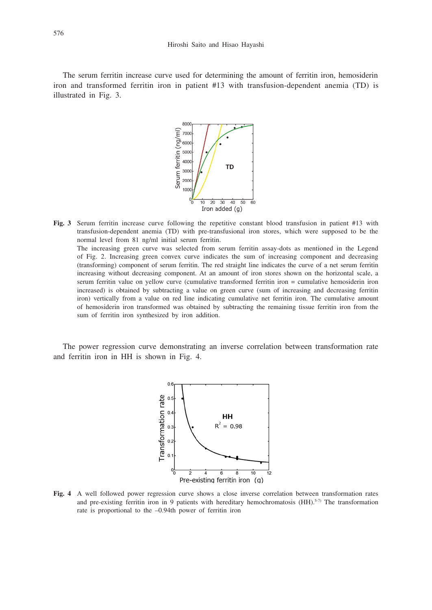The serum ferritin increase curve used for determining the amount of ferritin iron, hemosiderin iron and transformed ferritin iron in patient #13 with transfusion-dependent anemia (TD) is illustrated in Fig. 3.



**Fig. 3** Serum ferritin increase curve following the repetitive constant blood transfusion in patient #13 with transfusion-dependent anemia (TD) with pre-transfusional iron stores, which were supposed to be the normal level from 81 ng/ml initial serum ferritin. The increasing green curve was selected from serum ferritin assay-dots as mentioned in the Legend of Fig. 2. Increasing green convex curve indicates the sum of increasing component and decreasing (transforming) component of serum ferritin. The red straight line indicates the curve of a net serum ferritin increasing without decreasing component. At an amount of iron stores shown on the horizontal scale, a serum ferritin value on yellow curve (cumulative transformed ferritin iron = cumulative hemosiderin iron increased) is obtained by subtracting a value on green curve (sum of increasing and decreasing ferritin iron) vertically from a value on red line indicating cumulative net ferritin iron. The cumulative amount of hemosiderin iron transformed was obtained by subtracting the remaining tissue ferritin iron from the sum of ferritin iron synthesized by iron addition.

The power regression curve demonstrating an inverse correlation between transformation rate and ferritin iron in HH is shown in Fig. 4.



**Fig. 4** A well followed power regression curve shows a close inverse correlation between transformation rates and pre-existing ferritin iron in 9 patients with hereditary hemochromatosis  $(HH)$ .<sup>5-7)</sup> The transformation rate is proportional to the –0.94th power of ferritin iron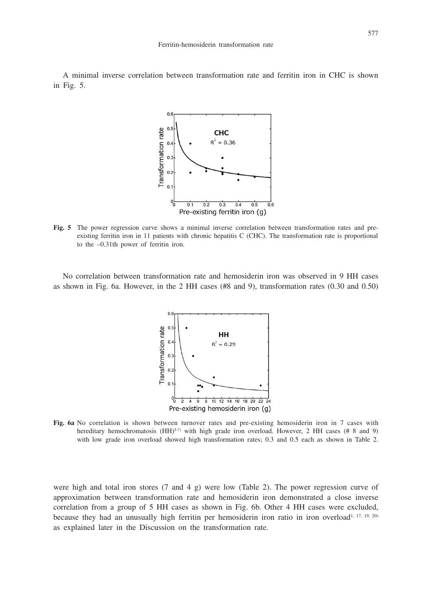A minimal inverse correlation between transformation rate and ferritin iron in CHC is shown in Fig. 5.



**Fig. 5** The power regression curve shows a minimal inverse correlation between transformation rates and preexisting ferritin iron in 11 patients with chronic hepatitis C (CHC). The transformation rate is proportional to the –0.31th power of ferritin iron.

No correlation between transformation rate and hemosiderin iron was observed in 9 HH cases as shown in Fig. 6a. However, in the 2 HH cases (#8 and 9), transformation rates (0.30 and 0.50)



**Fig. 6a** No correlation is shown between turnover rates and pre-existing hemosiderin iron in 7 cases with hereditary hemochromatosis (HH)<sup>5-7)</sup> with high grade iron overload. However, 2 HH cases (# 8 and 9) with low grade iron overload showed high transformation rates; 0.3 and 0.5 each as shown in Table 2.

were high and total iron stores (7 and 4 g) were low (Table 2). The power regression curve of approximation between transformation rate and hemosiderin iron demonstrated a close inverse correlation from a group of 5 HH cases as shown in Fig. 6b. Other 4 HH cases were excluded, because they had an unusually high ferritin per hemosiderin iron ratio in iron overload<sup>1, 17, 19, 20)</sup> as explained later in the Discussion on the transformation rate.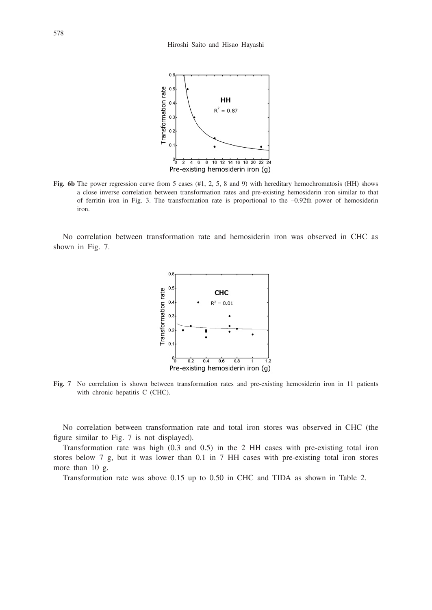

**Fig. 6b** The power regression curve from 5 cases (#1, 2, 5, 8 and 9) with hereditary hemochromatosis (HH) shows a close inverse correlation between transformation rates and pre-existing hemosiderin iron similar to that of ferritin iron in Fig. 3. The transformation rate is proportional to the –0.92th power of hemosiderin iron.

No correlation between transformation rate and hemosiderin iron was observed in CHC as shown in Fig. 7.



**Fig. 7** No correlation is shown between transformation rates and pre-existing hemosiderin iron in 11 patients with chronic hepatitis C (CHC).

No correlation between transformation rate and total iron stores was observed in CHC (the figure similar to Fig. 7 is not displayed).

Transformation rate was high (0.3 and 0.5) in the 2 HH cases with pre-existing total iron stores below 7 g, but it was lower than 0.1 in 7 HH cases with pre-existing total iron stores more than 10 g.

Transformation rate was above 0.15 up to 0.50 in CHC and TIDA as shown in Table 2.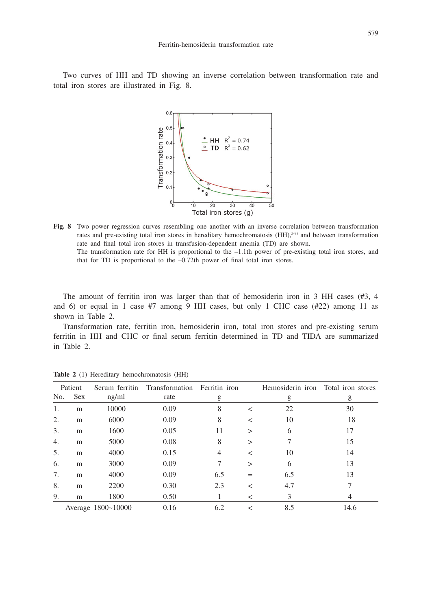Two curves of HH and TD showing an inverse correlation between transformation rate and total iron stores are illustrated in Fig. 8.



**Fig. 8** Two power regression curves resembling one another with an inverse correlation between transformation rates and pre-existing total iron stores in hereditary hemochromatosis (HH),<sup>5-7)</sup> and between transformation rate and final total iron stores in transfusion-dependent anemia (TD) are shown. The transformation rate for HH is proportional to the  $-1.1$ th power of pre-existing total iron stores, and

that for TD is proportional to the –0.72th power of final total iron stores.

The amount of ferritin iron was larger than that of hemosiderin iron in 3 HH cases (#3, 4 and 6) or equal in 1 case #7 among 9 HH cases, but only 1 CHC case (#22) among 11 as shown in Table 2.

Transformation rate, ferritin iron, hemosiderin iron, total iron stores and pre-existing serum ferritin in HH and CHC or final serum ferritin determined in TD and TIDA are summarized in Table 2.

|                    | Patient    | Serum ferritin | Transformation Ferritin iron |     |              | Hemosiderin iron | Total iron stores |
|--------------------|------------|----------------|------------------------------|-----|--------------|------------------|-------------------|
| No.                | <b>Sex</b> | ng/ml          | rate                         | g   |              | g                | g                 |
| 1.                 | m          | 10000          | 0.09                         | 8   | $\,<\,$      | 22               | 30                |
| 2.                 | m          | 6000           | 0.09                         | 8   | $\,<\,$      | 10               | 18                |
| 3.                 | m          | 1600           | 0.05                         | 11  | $\mathbf{I}$ | 6                | 17                |
| 4.                 | m          | 5000           | 0.08                         | 8   | $\mathbf{I}$ |                  | 15                |
| 5.                 | m          | 4000           | 0.15                         | 4   | ✓            | 10               | 14                |
| 6.                 | m          | 3000           | 0.09                         | 7   | >            | 6                | 13                |
| 7.                 | m          | 4000           | 0.09                         | 6.5 | $=$          | 6.5              | 13                |
| 8.                 | m          | 2200           | 0.30                         | 2.3 | $\,<\,$      | 4.7              |                   |
| 9.                 | m          | 1800           | 0.50                         |     | $\,<\,$      | 3                | 4                 |
| Average 1800~10000 |            |                | 0.16                         | 6.2 | $\,<\,$      | 8.5              | 14.6              |

**Table 2** (1) Hereditary hemochromatosis (HH)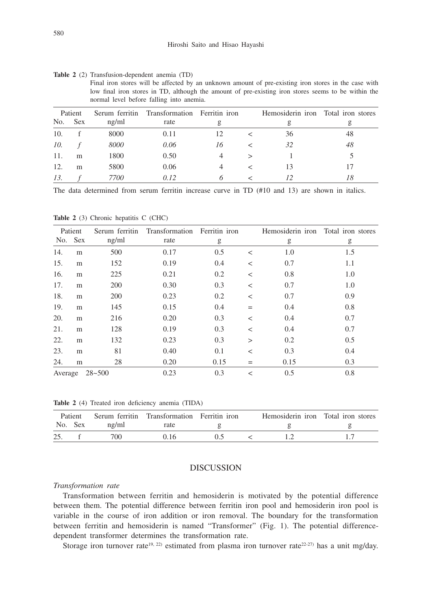**Table 2** (2) Transfusion-dependent anemia (TD)

Final iron stores will be affected by an unknown amount of pre-existing iron stores in the case with low final iron stores in TD, although the amount of pre-existing iron stores seems to be within the normal level before falling into anemia.

|     | Patient    |       | Serum ferritin Transformation Ferritin iron |                |   | Hemosiderin iron | Total iron stores |
|-----|------------|-------|---------------------------------------------|----------------|---|------------------|-------------------|
| No. | <b>Sex</b> | ng/ml | rate                                        | g              |   |                  | g                 |
| 10. |            | 8000  | 0.11                                        | 12             |   | 36               | 48                |
| 10. |            | 8000  | 0.06                                        | 16             |   | 32               | 48                |
| 11. | m          | 1800  | 0.50                                        | 4              | ↘ |                  |                   |
| 12. | m          | 5800  | 0.06                                        | $\overline{4}$ |   | 13               |                   |
| 13. |            | 7700  | 0.12                                        | 6              |   | 12               | 18                |

The data determined from serum ferritin increase curve in TD (#10 and 13) are shown in italics.

Table 2 (3) Chronic hepatitis C (CHC)

|         | Patient    | Serum ferritin | Transformation | Ferritin iron |         | Hemosiderin iron | Total iron stores |
|---------|------------|----------------|----------------|---------------|---------|------------------|-------------------|
| No.     | <b>Sex</b> | ng/ml          | rate           | g             |         | g                | g                 |
| 14.     | m          | 500            | 0.17           | 0.5           | $\,<\,$ | 1.0              | 1.5               |
| 15.     | m          | 152            | 0.19           | 0.4           | $\,<\,$ | 0.7              | 1.1               |
| 16.     | m          | 225            | 0.21           | 0.2           | $\,<$   | 0.8              | 1.0               |
| 17.     | m          | 200            | 0.30           | 0.3           | $\,<$   | 0.7              | 1.0               |
| 18.     | m          | 200            | 0.23           | 0.2           | $\,<$   | 0.7              | 0.9               |
| 19.     | m          | 145            | 0.15           | 0.4           | $=$     | 0.4              | 0.8               |
| 20.     | m          | 216            | 0.20           | 0.3           | $\,<$   | 0.4              | 0.7               |
| 21.     | m          | 128            | 0.19           | 0.3           | $\,<$   | 0.4              | 0.7               |
| 22.     | m          | 132            | 0.23           | 0.3           | $\geq$  | 0.2              | 0.5               |
| 23.     | m          | 81             | 0.40           | 0.1           | $\,<\,$ | 0.3              | 0.4               |
| 24.     | m          | 28             | 0.20           | 0.15          | $=$     | 0.15             | 0.3               |
| Average |            | $28 - 500$     | 0.23           | 0.3           | $\,<\,$ | 0.5              | 0.8               |

**Table 2** (4) Treated iron deficiency anemia (TIDA)

|     | Patient |       | Serum ferritin Transformation Ferritin iron |  | Hemosiderin iron Total iron stores |  |
|-----|---------|-------|---------------------------------------------|--|------------------------------------|--|
|     | No. Sex | ng/ml | rate                                        |  |                                    |  |
| 25. |         | 700   |                                             |  |                                    |  |

# DISCUSSION

## *Transformation rate*

Transformation between ferritin and hemosiderin is motivated by the potential difference between them. The potential difference between ferritin iron pool and hemosiderin iron pool is variable in the course of iron addition or iron removal. The boundary for the transformation between ferritin and hemosiderin is named "Transformer" (Fig. 1). The potential differencedependent transformer determines the transformation rate.

Storage iron turnover rate<sup>19, 22)</sup> estimated from plasma iron turnover rate<sup>22-27)</sup> has a unit mg/day.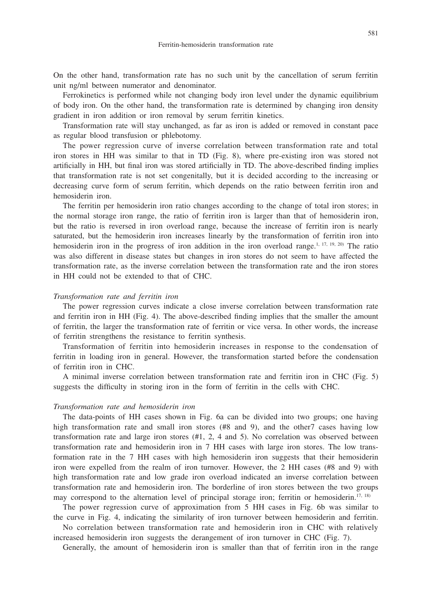On the other hand, transformation rate has no such unit by the cancellation of serum ferritin unit ng/ml between numerator and denominator.

Ferrokinetics is performed while not changing body iron level under the dynamic equilibrium of body iron. On the other hand, the transformation rate is determined by changing iron density gradient in iron addition or iron removal by serum ferritin kinetics.

Transformation rate will stay unchanged, as far as iron is added or removed in constant pace as regular blood transfusion or phlebotomy.

The power regression curve of inverse correlation between transformation rate and total iron stores in HH was similar to that in TD (Fig. 8), where pre-existing iron was stored not artificially in HH, but final iron was stored artificially in TD. The above-described finding implies that transformation rate is not set congenitally, but it is decided according to the increasing or decreasing curve form of serum ferritin, which depends on the ratio between ferritin iron and hemosiderin iron.

The ferritin per hemosiderin iron ratio changes according to the change of total iron stores; in the normal storage iron range, the ratio of ferritin iron is larger than that of hemosiderin iron, but the ratio is reversed in iron overload range, because the increase of ferritin iron is nearly saturated, but the hemosiderin iron increases linearly by the transformation of ferritin iron into hemosiderin iron in the progress of iron addition in the iron overload range.<sup>1, 17, 19, 20)</sup> The ratio was also different in disease states but changes in iron stores do not seem to have affected the transformation rate, as the inverse correlation between the transformation rate and the iron stores in HH could not be extended to that of CHC.

#### *Transformation rate and ferritin iron*

The power regression curves indicate a close inverse correlation between transformation rate and ferritin iron in HH (Fig. 4). The above-described finding implies that the smaller the amount of ferritin, the larger the transformation rate of ferritin or vice versa. In other words, the increase of ferritin strengthens the resistance to ferritin synthesis.

Transformation of ferritin into hemosiderin increases in response to the condensation of ferritin in loading iron in general. However, the transformation started before the condensation of ferritin iron in CHC.

A minimal inverse correlation between transformation rate and ferritin iron in CHC (Fig. 5) suggests the difficulty in storing iron in the form of ferritin in the cells with CHC.

## *Transformation rate and hemosiderin iron*

The data-points of HH cases shown in Fig. 6a can be divided into two groups; one having high transformation rate and small iron stores (#8 and 9), and the other7 cases having low transformation rate and large iron stores (#1, 2, 4 and 5). No correlation was observed between transformation rate and hemosiderin iron in 7 HH cases with large iron stores. The low transformation rate in the 7 HH cases with high hemosiderin iron suggests that their hemosiderin iron were expelled from the realm of iron turnover. However, the 2 HH cases (#8 and 9) with high transformation rate and low grade iron overload indicated an inverse correlation between transformation rate and hemosiderin iron. The borderline of iron stores between the two groups may correspond to the alternation level of principal storage iron; ferritin or hemosiderin.<sup>17, 18)</sup>

The power regression curve of approximation from 5 HH cases in Fig. 6b was similar to the curve in Fig. 4, indicating the similarity of iron turnover between hemosiderin and ferritin.

No correlation between transformation rate and hemosiderin iron in CHC with relatively increased hemosiderin iron suggests the derangement of iron turnover in CHC (Fig. 7).

Generally, the amount of hemosiderin iron is smaller than that of ferritin iron in the range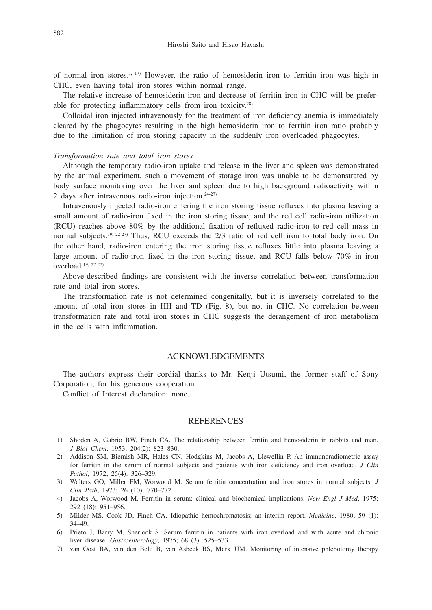of normal iron stores.1, 17) However, the ratio of hemosiderin iron to ferritin iron was high in CHC, even having total iron stores within normal range.

The relative increase of hemosiderin iron and decrease of ferritin iron in CHC will be preferable for protecting inflammatory cells from iron toxicity.28)

Colloidal iron injected intravenously for the treatment of iron deficiency anemia is immediately cleared by the phagocytes resulting in the high hemosiderin iron to ferritin iron ratio probably due to the limitation of iron storing capacity in the suddenly iron overloaded phagocytes.

#### *Transformation rate and total iron stores*

Although the temporary radio-iron uptake and release in the liver and spleen was demonstrated by the animal experiment, such a movement of storage iron was unable to be demonstrated by body surface monitoring over the liver and spleen due to high background radioactivity within 2 days after intravenous radio-iron injection.24-27)

Intravenously injected radio-iron entering the iron storing tissue refluxes into plasma leaving a small amount of radio-iron fixed in the iron storing tissue, and the red cell radio-iron utilization (RCU) reaches above 80% by the additional fixation of refluxed radio-iron to red cell mass in normal subjects.<sup>19, 22-27)</sup> Thus, RCU exceeds the 2/3 ratio of red cell iron to total body iron. On the other hand, radio-iron entering the iron storing tissue refluxes little into plasma leaving a large amount of radio-iron fixed in the iron storing tissue, and RCU falls below 70% in iron overload.19, 22-27)

Above-described findings are consistent with the inverse correlation between transformation rate and total iron stores.

The transformation rate is not determined congenitally, but it is inversely correlated to the amount of total iron stores in HH and TD (Fig. 8), but not in CHC. No correlation between transformation rate and total iron stores in CHC suggests the derangement of iron metabolism in the cells with inflammation.

## ACKNOWLEDGEMENTS

The authors express their cordial thanks to Mr. Kenji Utsumi, the former staff of Sony Corporation, for his generous cooperation.

Conflict of Interest declaration: none.

## **REFERENCES**

- 1) Shoden A, Gabrio BW, Finch CA. The relationship between ferritin and hemosiderin in rabbits and man. *J Biol Chem*, 1953; 204(2): 823–830.
- 2) Addison SM, Biemish MR, Hales CN, Hodgkins M, Jacobs A, Llewellin P. An immunoradiometric assay for ferritin in the serum of normal subjects and patients with iron deficiency and iron overload. *J Clin Pathol*, 1972; 25(4): 326–329.
- 3) Walters GO, Miller FM, Worwood M. Serum ferritin concentration and iron stores in normal subjects. *J Clin Path*, 1973; 26 (10): 770–772.
- 4) Jacobs A, Worwood M. Ferritin in serum: clinical and biochemical implications. *New Engl J Med*, 1975; 292 (18): 951–956.
- 5) Milder MS, Cook JD, Finch CA. Idiopathic hemochromatosis: an interim report. *Medicine*, 1980; 59 (1): 34–49.
- 6) Prieto J, Barry M, Sherlock S. Serum ferritin in patients with iron overload and with acute and chronic liver disease. *Gastroenterology*, 1975; 68 (3): 525–533.
- 7) van Oost BA, van den Beld B, van Asbeck BS, Marx JJM. Monitoring of intensive phlebotomy therapy